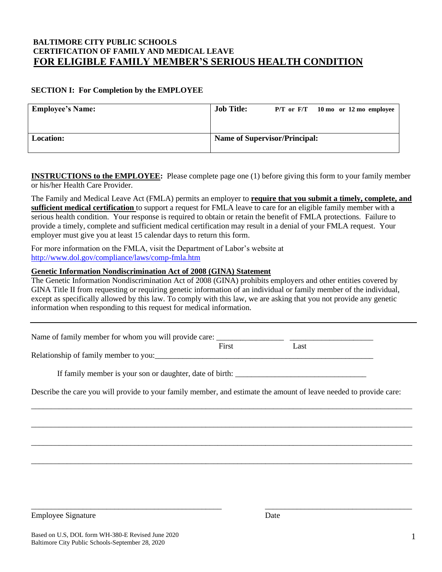# **BALTIMORE CITY PUBLIC SCHOOLS CERTIFICATION OF FAMILY AND MEDICAL LEAVE FOR ELIGIBLE FAMILY MEMBER'S SERIOUS HEALTH CONDITION**

#### **SECTION I: For Completion by the EMPLOYEE**

| <b>Employee's Name:</b> | <b>Job Title:</b>                    | $P/T$ or $F/T$ 10 mo or 12 mo employee |  |  |
|-------------------------|--------------------------------------|----------------------------------------|--|--|
| <b>Location:</b>        | <b>Name of Supervisor/Principal:</b> |                                        |  |  |

**INSTRUCTIONS to the EMPLOYEE:** Please complete page one (1) before giving this form to your family member or his/her Health Care Provider.

The Family and Medical Leave Act (FMLA) permits an employer to **require that you submit a timely, complete, and sufficient medical certification** to support a request for FMLA leave to care for an eligible family member with a serious health condition. Your response is required to obtain or retain the benefit of FMLA protections. Failure to provide a timely, complete and sufficient medical certification may result in a denial of your FMLA request. Your employer must give you at least 15 calendar days to return this form.

For more information on the FMLA, visit the Department of Labor's website at <http://www.dol.gov/compliance/laws/comp-fmla.htm>

#### **Genetic Information Nondiscrimination Act of 2008 (GINA) Statement**

The Genetic Information Nondiscrimination Act of 2008 (GINA) prohibits employers and other entities covered by GINA Title II from requesting or requiring genetic information of an individual or family member of the individual, except as specifically allowed by this law. To comply with this law, we are asking that you not provide any genetic information when responding to this request for medical information.

| Name of family member for whom you will provide care: |       |      |
|-------------------------------------------------------|-------|------|
|                                                       | First | Last |

Relationship of family member to you:

If family member is your son or daughter, date of birth:

Describe the care you will provide to your family member, and estimate the amount of leave needed to provide care:

\_\_\_\_\_\_\_\_\_\_\_\_\_\_\_\_\_\_\_\_\_\_\_\_\_\_\_\_\_\_\_\_\_\_\_\_\_\_\_\_\_\_\_\_\_\_\_\_\_\_\_\_\_\_\_\_\_\_\_\_\_\_\_\_\_\_\_\_\_\_\_\_\_\_\_\_\_\_\_\_\_\_\_\_\_\_\_\_\_\_\_\_\_\_\_\_

\_\_\_\_\_\_\_\_\_\_\_\_\_\_\_\_\_\_\_\_\_\_\_\_\_\_\_\_\_\_\_\_\_\_\_\_\_\_\_\_\_\_\_\_\_\_\_\_\_\_\_\_\_\_\_\_\_\_\_\_\_\_\_\_\_\_\_\_\_\_\_\_\_\_\_\_\_\_\_\_\_\_\_\_\_\_\_\_\_\_\_\_\_\_\_\_

\_\_\_\_\_\_\_\_\_\_\_\_\_\_\_\_\_\_\_\_\_\_\_\_\_\_\_\_\_\_\_\_\_\_\_\_\_\_\_\_\_\_\_\_\_\_\_\_\_\_\_\_\_\_\_\_\_\_\_\_\_\_\_\_\_\_\_\_\_\_\_\_\_\_\_\_\_\_\_\_\_\_\_\_\_\_\_\_\_\_\_\_\_\_\_\_

\_\_\_\_\_\_\_\_\_\_\_\_\_\_\_\_\_\_\_\_\_\_\_\_\_\_\_\_\_\_\_\_\_\_\_\_\_\_\_\_\_\_\_\_\_\_\_\_\_\_\_\_\_\_\_\_\_\_\_\_\_\_\_\_\_\_\_\_\_\_\_\_\_\_\_\_\_\_\_\_\_\_\_\_\_\_\_\_\_\_\_\_\_\_\_\_

\_\_\_\_\_\_\_\_\_\_\_\_\_\_\_\_\_\_\_\_\_\_\_\_\_\_\_\_\_\_\_\_\_\_\_\_\_\_\_\_\_\_\_\_\_\_\_\_ \_\_\_\_\_\_\_\_\_\_\_\_\_\_\_\_\_\_\_\_\_\_\_\_\_\_\_\_\_\_\_\_\_\_\_\_\_

Employee Signature Date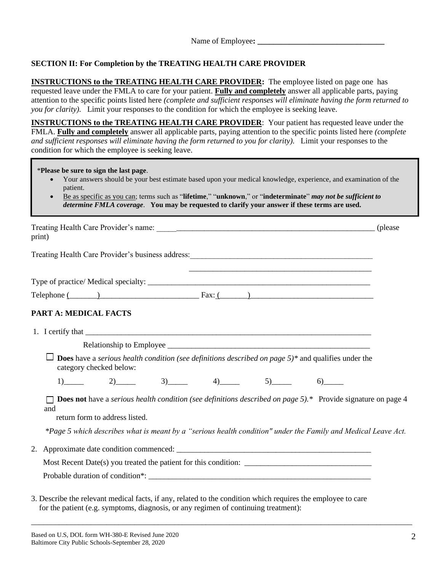# **SECTION II: For Completion by the TREATING HEALTH CARE PROVIDER**

**INSTRUCTIONS to the TREATING HEALTH CARE PROVIDER:** The employee listed on page one has requested leave under the FMLA to care for your patient. **Fully and completely** answer all applicable parts, paying attention to the specific points listed here *(complete and sufficient responses will eliminate having the form returned to you for clarity).* Limit your responses to the condition for which the employee is seeking leave.

**INSTRUCTIONS to the TREATING HEALTH CARE PROVIDER**: Your patient has requested leave under the FMLA. **Fully and completely** answer all applicable parts, paying attention to the specific points listed here *(complete and sufficient responses will eliminate having the form returned to you for clarity).* Limit your responses to the condition for which the employee is seeking leave.

\***Please be sure to sign the last page**.

- Your answers should be your best estimate based upon your medical knowledge, experience, and examination of the patient.
- Be as specific as you can; terms such as "**lifetime**," "**unknown**," or "**indeterminate**" *may not be sufficient to determine FMLA coverage*. **You may be requested to clarify your answer if these terms are used.**

| print)                                                                                                                                                                                              | (please) |
|-----------------------------------------------------------------------------------------------------------------------------------------------------------------------------------------------------|----------|
|                                                                                                                                                                                                     |          |
| <u> 1990 - Jan James James Barnett, amerikan bahasa perang di sebagai perang di sebagai perang di sebagai perang </u>                                                                               |          |
| $\text{Telephone} \underline{\text{(}}$                                                                                                                                                             |          |
| PART A: MEDICAL FACTS                                                                                                                                                                               |          |
| 1. I certify that                                                                                                                                                                                   |          |
|                                                                                                                                                                                                     |          |
| <b>Does</b> have a <i>serious health condition (see definitions described on page 5)<sup>*</sup> and qualifies under the</i><br>category checked below:                                             |          |
| 1) 2) 3) 4) 5)                                                                                                                                                                                      |          |
| <b>Does not</b> have a serious health condition (see definitions described on page 5).* Provide signature on page 4<br>and<br>return form to address listed.                                        |          |
|                                                                                                                                                                                                     |          |
| *Page 5 which describes what is meant by a "serious health condition" under the Family and Medical Leave Act.                                                                                       |          |
| 2.                                                                                                                                                                                                  |          |
|                                                                                                                                                                                                     |          |
|                                                                                                                                                                                                     |          |
|                                                                                                                                                                                                     |          |
| 3. Describe the relevant medical facts, if any, related to the condition which requires the employee to care<br>for the patient (e.g. symptoms, diagnosis, or any regimen of continuing treatment): |          |

\_\_\_\_\_\_\_\_\_\_\_\_\_\_\_\_\_\_\_\_\_\_\_\_\_\_\_\_\_\_\_\_\_\_\_\_\_\_\_\_\_\_\_\_\_\_\_\_\_\_\_\_\_\_\_\_\_\_\_\_\_\_\_\_\_\_\_\_\_\_\_\_\_\_\_\_\_\_\_\_\_\_\_\_\_\_\_\_\_\_\_\_\_\_\_\_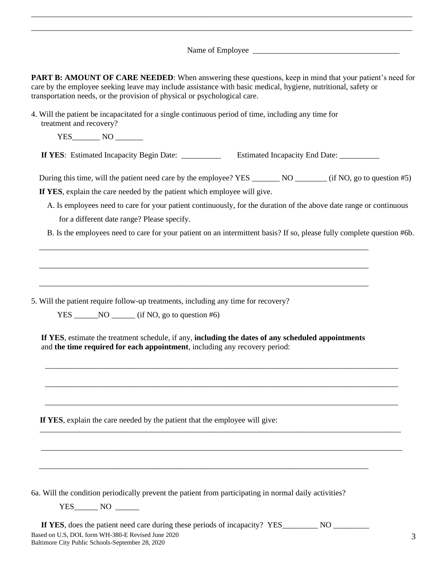Name of Employee \_\_\_\_\_\_\_\_\_\_\_\_\_\_\_\_\_\_\_\_\_\_\_\_\_\_\_\_\_\_\_\_\_\_\_\_\_

\_\_\_\_\_\_\_\_\_\_\_\_\_\_\_\_\_\_\_\_\_\_\_\_\_\_\_\_\_\_\_\_\_\_\_\_\_\_\_\_\_\_\_\_\_\_\_\_\_\_\_\_\_\_\_\_\_\_\_\_\_\_\_\_\_\_\_\_\_\_\_\_\_\_\_\_\_\_\_\_\_\_\_\_\_\_\_\_\_\_\_\_\_\_\_\_ \_\_\_\_\_\_\_\_\_\_\_\_\_\_\_\_\_\_\_\_\_\_\_\_\_\_\_\_\_\_\_\_\_\_\_\_\_\_\_\_\_\_\_\_\_\_\_\_\_\_\_\_\_\_\_\_\_\_\_\_\_\_\_\_\_\_\_\_\_\_\_\_\_\_\_\_\_\_\_\_\_\_\_\_\_\_\_\_\_\_\_\_\_\_\_\_

| <b>PART B: AMOUNT OF CARE NEEDED:</b> When answering these questions, keep in mind that your patient's need for                                                                                                                     |
|-------------------------------------------------------------------------------------------------------------------------------------------------------------------------------------------------------------------------------------|
| care by the employee seeking leave may include assistance with basic medical, hygiene, nutritional, safety or                                                                                                                       |
| transportation needs, or the provision of physical or psychological care.                                                                                                                                                           |
| $\overline{A}$ with $A$ and $A$ and $A$ and $A$ and $A$ and $A$ and $A$ and $A$ and $A$ and $A$ and $A$ and $A$ and $A$ and $A$ and $A$ and $A$ and $A$ and $A$ and $A$ and $A$ and $A$ and $A$ and $A$ and $A$ and $A$ and $A$ and |

4. Will the patient be incapacitated for a single continuous period of time, including any time for treatment and recovery?

 $YES \qquad \qquad \text{NO} \qquad \qquad$ 

**If YES:** Estimated Incapacity Begin Date: \_\_\_\_\_\_\_\_\_\_\_\_\_ Estimated Incapacity End Date: \_\_\_\_\_\_\_\_\_\_

During this time, will the patient need care by the employee? YES \_\_\_\_\_\_\_\_ NO \_\_\_\_\_\_\_ (if NO, go to question #5)

 **If YES**, explain the care needed by the patient which employee will give.

- A. Is employees need to care for your patient continuously, for the duration of the above date range or continuous for a different date range? Please specify.
- B. Is the employees need to care for your patient on an intermittent basis? If so, please fully complete question #6b.

5. Will the patient require follow-up treatments, including any time for recovery?

 $YES$  NO (if NO, go to question #6)

 **If YES**, estimate the treatment schedule, if any, **including the dates of any scheduled appointments** and **the time required for each appointment**, including any recovery period:

\_\_\_\_\_\_\_\_\_\_\_\_\_\_\_\_\_\_\_\_\_\_\_\_\_\_\_\_\_\_\_\_\_\_\_\_\_\_\_\_\_\_\_\_\_\_\_\_\_\_\_\_\_\_\_\_\_\_\_\_\_\_\_\_\_\_\_\_\_\_\_\_\_\_\_\_\_\_\_\_\_\_\_\_\_\_\_\_\_

\_\_\_\_\_\_\_\_\_\_\_\_\_\_\_\_\_\_\_\_\_\_\_\_\_\_\_\_\_\_\_\_\_\_\_\_\_\_\_\_\_\_\_\_\_\_\_\_\_\_\_\_\_\_\_\_\_\_\_\_\_\_\_\_\_\_\_\_\_\_\_\_\_\_\_\_\_\_\_\_\_\_\_\_\_\_\_\_\_

\_\_\_\_\_\_\_\_\_\_\_\_\_\_\_\_\_\_\_\_\_\_\_\_\_\_\_\_\_\_\_\_\_\_\_\_\_\_\_\_\_\_\_\_\_\_\_\_\_\_\_\_\_\_\_\_\_\_\_\_\_\_\_\_\_\_\_\_\_\_\_\_\_\_\_\_\_\_\_\_\_\_\_\_\_\_\_\_\_

\_\_\_\_\_\_\_\_\_\_\_\_\_\_\_\_\_\_\_\_\_\_\_\_\_\_\_\_\_\_\_\_\_\_\_\_\_\_\_\_\_\_\_\_\_\_\_\_\_\_\_\_\_\_\_\_\_\_\_\_\_\_\_\_\_\_\_\_\_\_\_\_\_\_\_\_\_\_\_\_\_\_\_\_\_\_\_\_\_\_\_

 $\overline{\phantom{a}}$  , and the contribution of the contribution of the contribution of the contribution of the contribution of the contribution of the contribution of the contribution of the contribution of the contribution of the

\_\_\_\_\_\_\_\_\_\_\_\_\_\_\_\_\_\_\_\_\_\_\_\_\_\_\_\_\_\_\_\_\_\_\_\_\_\_\_\_\_\_\_\_\_\_\_\_\_\_\_\_\_\_\_\_\_\_\_\_\_\_\_\_\_\_\_\_\_\_\_\_\_\_\_\_\_\_\_\_\_\_\_

\_\_\_\_\_\_\_\_\_\_\_\_\_\_\_\_\_\_\_\_\_\_\_\_\_\_\_\_\_\_\_\_\_\_\_\_\_\_\_\_\_\_\_\_\_\_\_\_\_\_\_\_\_\_\_\_\_\_\_\_\_\_\_\_\_\_\_\_\_\_\_\_\_\_\_\_\_\_\_\_\_\_\_

\_\_\_\_\_\_\_\_\_\_\_\_\_\_\_\_\_\_\_\_\_\_\_\_\_\_\_\_\_\_\_\_\_\_\_\_\_\_\_\_\_\_\_\_\_\_\_\_\_\_\_\_\_\_\_\_\_\_\_\_\_\_\_\_\_\_\_\_\_\_\_\_\_\_\_\_\_\_\_\_\_\_\_

**If YES**, explain the care needed by the patient that the employee will give:

6a. Will the condition periodically prevent the patient from participating in normal daily activities?

YES NO

Based on U.S, DOL form WH-380-E Revised June 2020 Baltimore City Public Schools-September 28, 2020 **If YES**, does the patient need care during these periods of incapacity? YES\_\_\_\_\_\_\_\_\_ NO

\_\_\_\_\_\_\_\_\_\_\_\_\_\_\_\_\_\_\_\_\_\_\_\_\_\_\_\_\_\_\_\_\_\_\_\_\_\_\_\_\_\_\_\_\_\_\_\_\_\_\_\_\_\_\_\_\_\_\_\_\_\_\_\_\_\_\_\_\_\_\_\_\_\_\_\_\_\_\_\_\_\_\_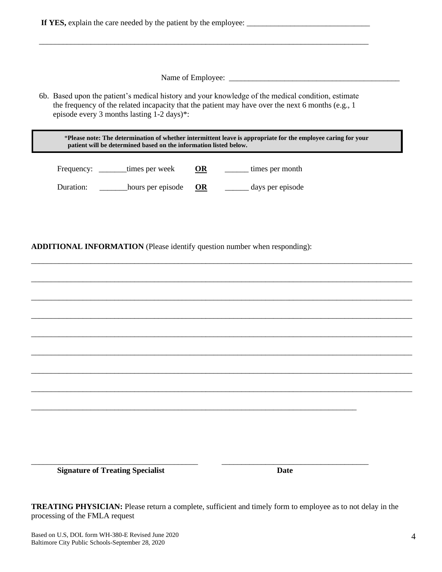|                                   | episode every 3 months lasting 1-2 days)*:                                |                        | 6b. Based upon the patient's medical history and your knowledge of the medical condition, estimate<br>the frequency of the related incapacity that the patient may have over the next 6 months (e.g., 1 |  |
|-----------------------------------|---------------------------------------------------------------------------|------------------------|---------------------------------------------------------------------------------------------------------------------------------------------------------------------------------------------------------|--|
|                                   | patient will be determined based on the information listed below.         |                        | *Please note: The determination of whether intermittent leave is appropriate for the employee caring for your                                                                                           |  |
| Frequency: ________times per week |                                                                           | $\overline{\text{OR}}$ | times per month                                                                                                                                                                                         |  |
|                                   | Duration: __________hours per episode                                     | OR                     | days per episode                                                                                                                                                                                        |  |
|                                   | ADDITIONAL INFORMATION (Please identify question number when responding): |                        |                                                                                                                                                                                                         |  |
|                                   |                                                                           |                        |                                                                                                                                                                                                         |  |
|                                   |                                                                           |                        |                                                                                                                                                                                                         |  |
|                                   |                                                                           |                        |                                                                                                                                                                                                         |  |
|                                   |                                                                           |                        |                                                                                                                                                                                                         |  |
|                                   |                                                                           |                        |                                                                                                                                                                                                         |  |
|                                   |                                                                           |                        |                                                                                                                                                                                                         |  |

**TREATING PHYSICIAN:** Please return a complete, sufficient and timely form to employee as to not delay in the processing of the FMLA request